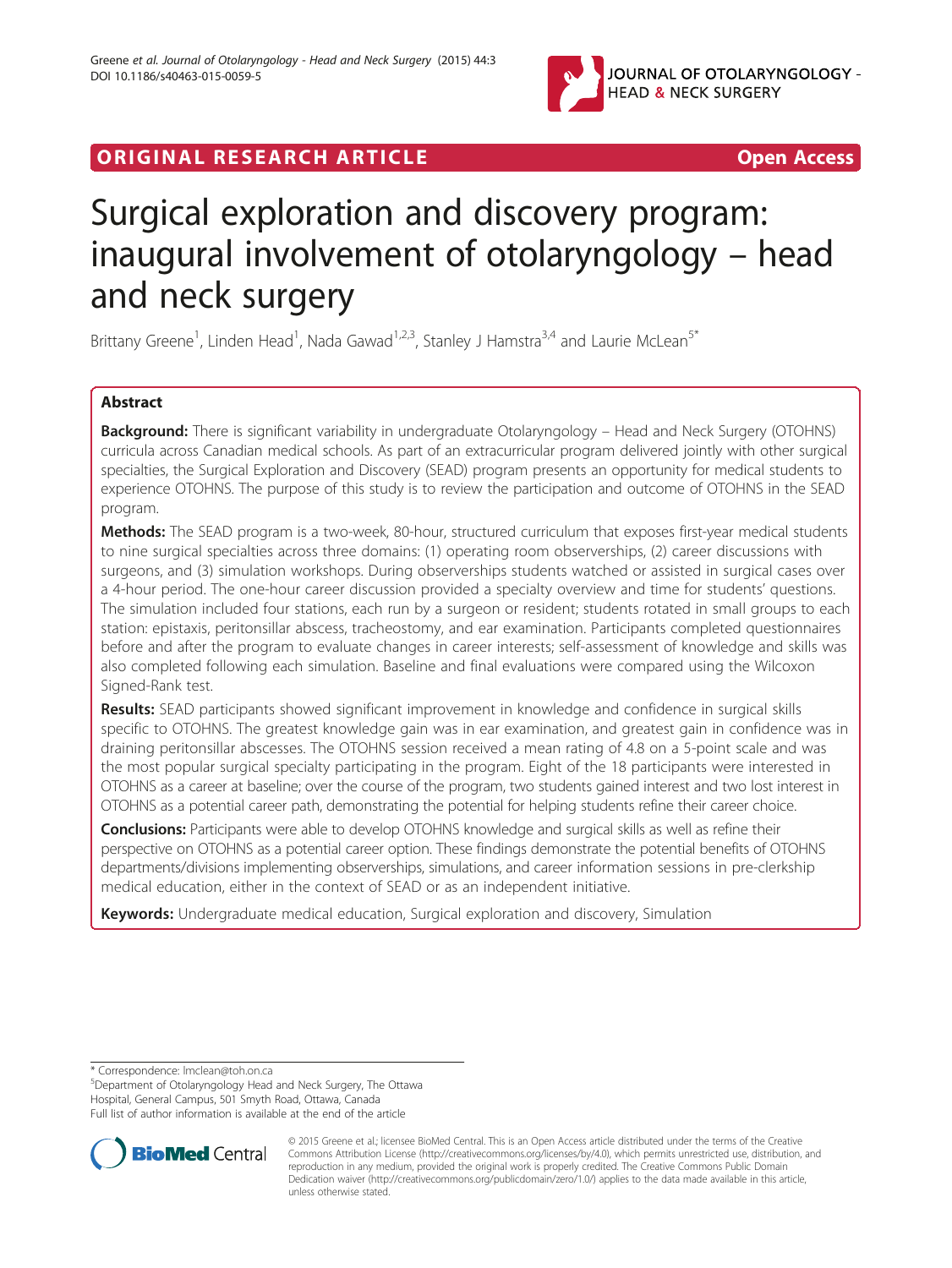

# **ORIGINAL RESEARCH ARTICLE CONSUMING ACCESS**

# Surgical exploration and discovery program: inaugural involvement of otolaryngology – head and neck surgery

Brittany Greene<sup>1</sup>, Linden Head<sup>1</sup>, Nada Gawad<sup>1,2,3</sup>, Stanley J Hamstra<sup>3,4</sup> and Laurie McLean<sup>5\*</sup>

## Abstract

Background: There is significant variability in undergraduate Otolaryngology - Head and Neck Surgery (OTOHNS) curricula across Canadian medical schools. As part of an extracurricular program delivered jointly with other surgical specialties, the Surgical Exploration and Discovery (SEAD) program presents an opportunity for medical students to experience OTOHNS. The purpose of this study is to review the participation and outcome of OTOHNS in the SEAD program.

Methods: The SEAD program is a two-week, 80-hour, structured curriculum that exposes first-year medical students to nine surgical specialties across three domains: (1) operating room observerships, (2) career discussions with surgeons, and (3) simulation workshops. During observerships students watched or assisted in surgical cases over a 4-hour period. The one-hour career discussion provided a specialty overview and time for students' questions. The simulation included four stations, each run by a surgeon or resident; students rotated in small groups to each station: epistaxis, peritonsillar abscess, tracheostomy, and ear examination. Participants completed questionnaires before and after the program to evaluate changes in career interests; self-assessment of knowledge and skills was also completed following each simulation. Baseline and final evaluations were compared using the Wilcoxon Signed-Rank test.

Results: SEAD participants showed significant improvement in knowledge and confidence in surgical skills specific to OTOHNS. The greatest knowledge gain was in ear examination, and greatest gain in confidence was in draining peritonsillar abscesses. The OTOHNS session received a mean rating of 4.8 on a 5-point scale and was the most popular surgical specialty participating in the program. Eight of the 18 participants were interested in OTOHNS as a career at baseline; over the course of the program, two students gained interest and two lost interest in OTOHNS as a potential career path, demonstrating the potential for helping students refine their career choice.

**Conclusions:** Participants were able to develop OTOHNS knowledge and surgical skills as well as refine their perspective on OTOHNS as a potential career option. These findings demonstrate the potential benefits of OTOHNS departments/divisions implementing observerships, simulations, and career information sessions in pre-clerkship medical education, either in the context of SEAD or as an independent initiative.

Keywords: Undergraduate medical education, Surgical exploration and discovery, Simulation

\* Correspondence: [lmclean@toh.on.ca](mailto:lmclean@toh.on.ca) <sup>5</sup>

Department of Otolaryngology Head and Neck Surgery, The Ottawa Hospital, General Campus, 501 Smyth Road, Ottawa, Canada

Full list of author information is available at the end of the article



<sup>© 2015</sup> Greene et al.; licensee BioMed Central. This is an Open Access article distributed under the terms of the Creative Commons Attribution License [\(http://creativecommons.org/licenses/by/4.0\)](http://creativecommons.org/licenses/by/4.0), which permits unrestricted use, distribution, and reproduction in any medium, provided the original work is properly credited. The Creative Commons Public Domain Dedication waiver [\(http://creativecommons.org/publicdomain/zero/1.0/](http://creativecommons.org/publicdomain/zero/1.0/)) applies to the data made available in this article, unless otherwise stated.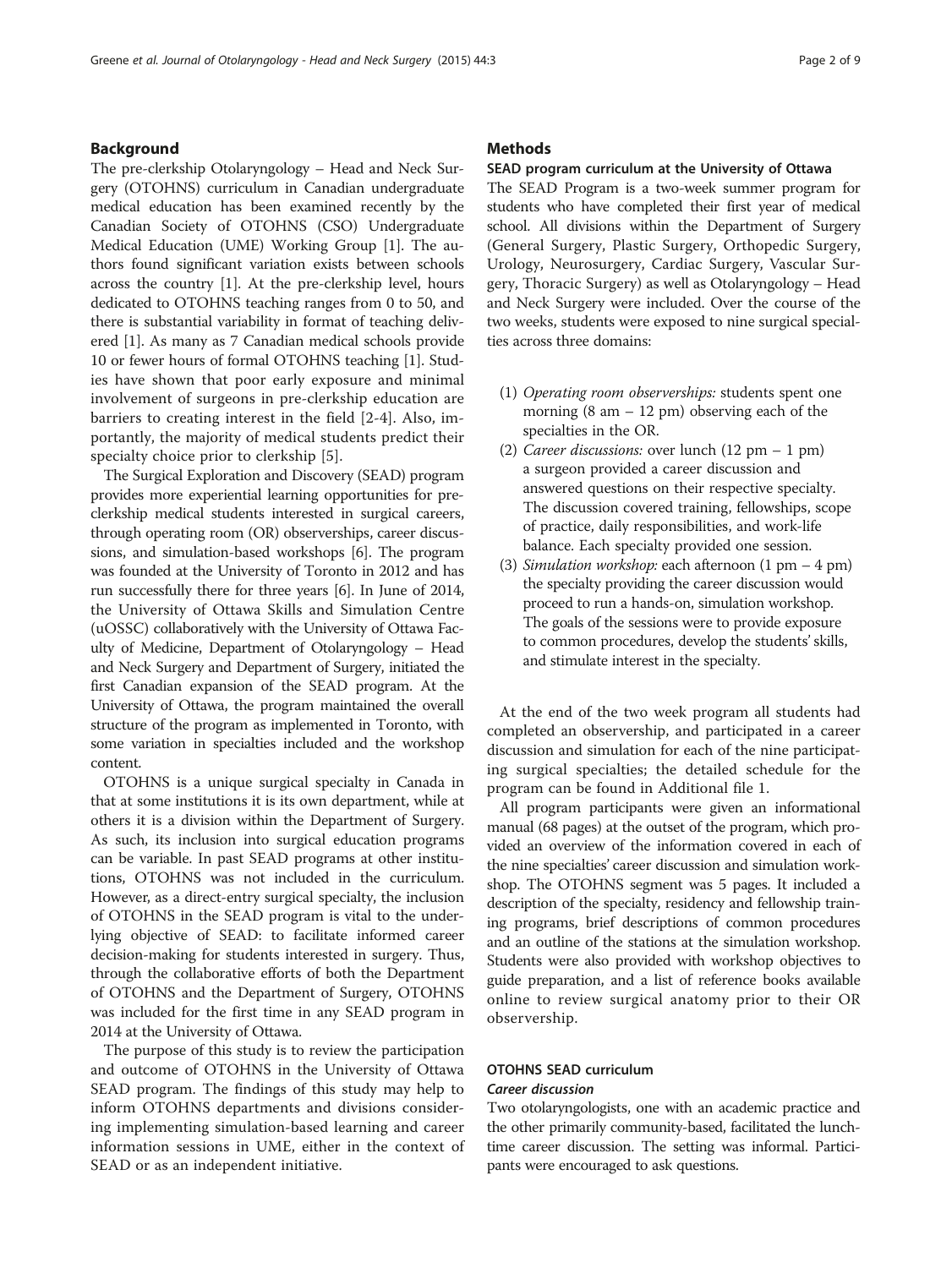## Background

The pre-clerkship Otolaryngology – Head and Neck Surgery (OTOHNS) curriculum in Canadian undergraduate medical education has been examined recently by the Canadian Society of OTOHNS (CSO) Undergraduate Medical Education (UME) Working Group [\[1\]](#page-8-0). The authors found significant variation exists between schools across the country [[1\]](#page-8-0). At the pre-clerkship level, hours dedicated to OTOHNS teaching ranges from 0 to 50, and there is substantial variability in format of teaching delivered [\[1](#page-8-0)]. As many as 7 Canadian medical schools provide 10 or fewer hours of formal OTOHNS teaching [[1](#page-8-0)]. Studies have shown that poor early exposure and minimal involvement of surgeons in pre-clerkship education are barriers to creating interest in the field [[2-4\]](#page-8-0). Also, importantly, the majority of medical students predict their specialty choice prior to clerkship [\[5](#page-8-0)].

The Surgical Exploration and Discovery (SEAD) program provides more experiential learning opportunities for preclerkship medical students interested in surgical careers, through operating room (OR) observerships, career discussions, and simulation-based workshops [[6](#page-8-0)]. The program was founded at the University of Toronto in 2012 and has run successfully there for three years [\[6\]](#page-8-0). In June of 2014, the University of Ottawa Skills and Simulation Centre (uOSSC) collaboratively with the University of Ottawa Faculty of Medicine, Department of Otolaryngology – Head and Neck Surgery and Department of Surgery, initiated the first Canadian expansion of the SEAD program. At the University of Ottawa, the program maintained the overall structure of the program as implemented in Toronto, with some variation in specialties included and the workshop content.

OTOHNS is a unique surgical specialty in Canada in that at some institutions it is its own department, while at others it is a division within the Department of Surgery. As such, its inclusion into surgical education programs can be variable. In past SEAD programs at other institutions, OTOHNS was not included in the curriculum. However, as a direct-entry surgical specialty, the inclusion of OTOHNS in the SEAD program is vital to the underlying objective of SEAD: to facilitate informed career decision-making for students interested in surgery. Thus, through the collaborative efforts of both the Department of OTOHNS and the Department of Surgery, OTOHNS was included for the first time in any SEAD program in 2014 at the University of Ottawa.

The purpose of this study is to review the participation and outcome of OTOHNS in the University of Ottawa SEAD program. The findings of this study may help to inform OTOHNS departments and divisions considering implementing simulation-based learning and career information sessions in UME, either in the context of SEAD or as an independent initiative.

## **Methods**

#### SEAD program curriculum at the University of Ottawa

The SEAD Program is a two-week summer program for students who have completed their first year of medical school. All divisions within the Department of Surgery (General Surgery, Plastic Surgery, Orthopedic Surgery, Urology, Neurosurgery, Cardiac Surgery, Vascular Surgery, Thoracic Surgery) as well as Otolaryngology – Head and Neck Surgery were included. Over the course of the two weeks, students were exposed to nine surgical specialties across three domains:

- (1) Operating room observerships: students spent one morning  $(8 \text{ am} - 12 \text{ pm})$  observing each of the specialties in the OR.
- (2) Career discussions: over lunch  $(12 \text{ pm} 1 \text{ pm})$ a surgeon provided a career discussion and answered questions on their respective specialty. The discussion covered training, fellowships, scope of practice, daily responsibilities, and work-life balance. Each specialty provided one session.
- (3) Simulation workshop: each afternoon  $(1 \text{ pm} 4 \text{ pm})$ the specialty providing the career discussion would proceed to run a hands-on, simulation workshop. The goals of the sessions were to provide exposure to common procedures, develop the students' skills, and stimulate interest in the specialty.

At the end of the two week program all students had completed an observership, and participated in a career discussion and simulation for each of the nine participating surgical specialties; the detailed schedule for the program can be found in Additional file [1](#page-7-0).

All program participants were given an informational manual (68 pages) at the outset of the program, which provided an overview of the information covered in each of the nine specialties' career discussion and simulation workshop. The OTOHNS segment was 5 pages. It included a description of the specialty, residency and fellowship training programs, brief descriptions of common procedures and an outline of the stations at the simulation workshop. Students were also provided with workshop objectives to guide preparation, and a list of reference books available online to review surgical anatomy prior to their OR observership.

## OTOHNS SEAD curriculum

#### Career discussion

Two otolaryngologists, one with an academic practice and the other primarily community-based, facilitated the lunchtime career discussion. The setting was informal. Participants were encouraged to ask questions.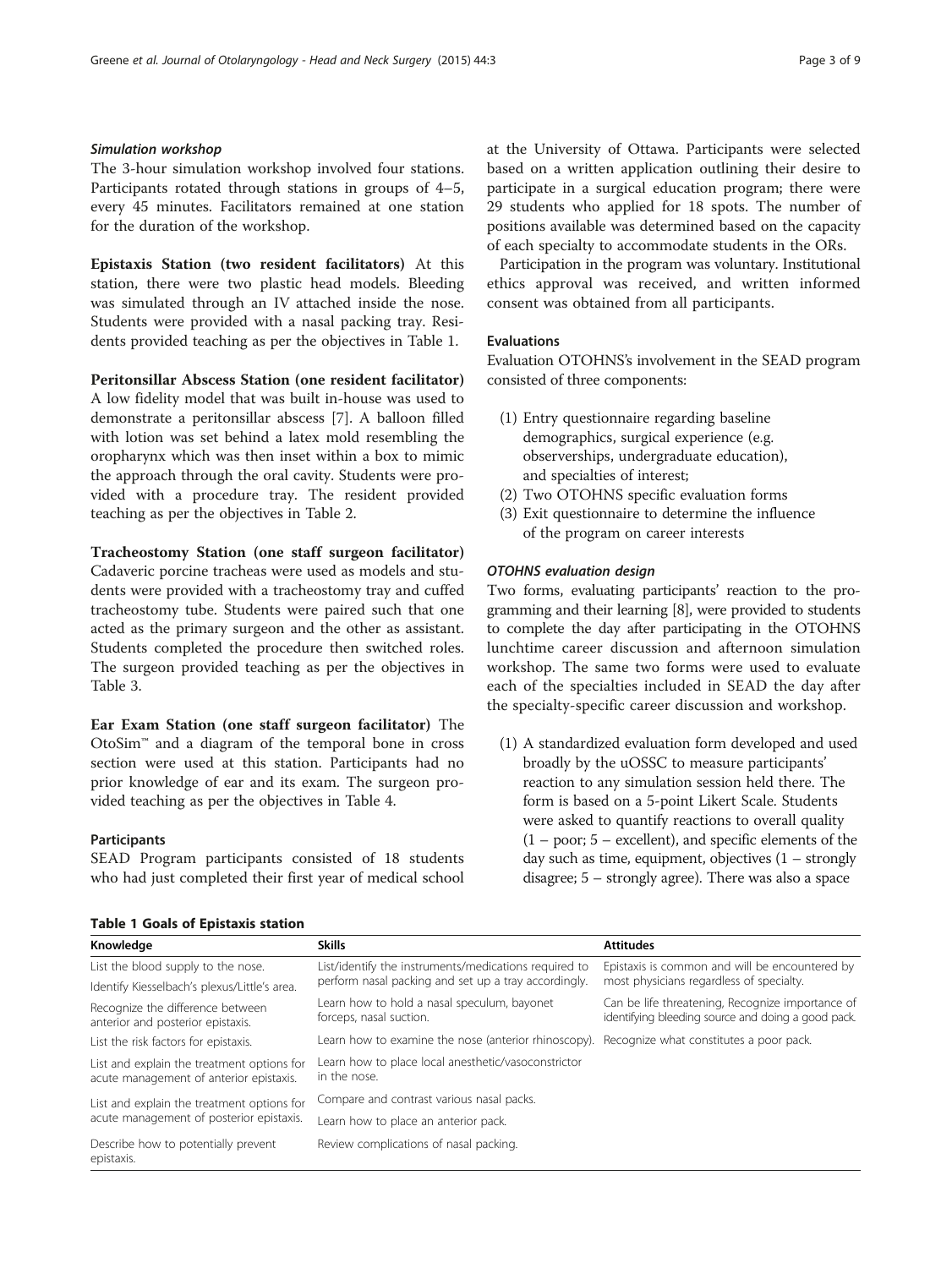#### Simulation workshop

The 3-hour simulation workshop involved four stations. Participants rotated through stations in groups of 4–5, every 45 minutes. Facilitators remained at one station for the duration of the workshop.

Epistaxis Station (two resident facilitators) At this station, there were two plastic head models. Bleeding was simulated through an IV attached inside the nose. Students were provided with a nasal packing tray. Residents provided teaching as per the objectives in Table 1.

Peritonsillar Abscess Station (one resident facilitator) A low fidelity model that was built in-house was used to demonstrate a peritonsillar abscess [[7](#page-8-0)]. A balloon filled with lotion was set behind a latex mold resembling the oropharynx which was then inset within a box to mimic the approach through the oral cavity. Students were provided with a procedure tray. The resident provided teaching as per the objectives in Table [2](#page-3-0).

Tracheostomy Station (one staff surgeon facilitator) Cadaveric porcine tracheas were used as models and students were provided with a tracheostomy tray and cuffed tracheostomy tube. Students were paired such that one acted as the primary surgeon and the other as assistant. Students completed the procedure then switched roles. The surgeon provided teaching as per the objectives in Table [3.](#page-3-0)

Ear Exam Station (one staff surgeon facilitator) The OtoSim™ and a diagram of the temporal bone in cross section were used at this station. Participants had no prior knowledge of ear and its exam. The surgeon provided teaching as per the objectives in Table [4.](#page-4-0)

## Participants

SEAD Program participants consisted of 18 students who had just completed their first year of medical school at the University of Ottawa. Participants were selected based on a written application outlining their desire to participate in a surgical education program; there were 29 students who applied for 18 spots. The number of positions available was determined based on the capacity of each specialty to accommodate students in the ORs.

Participation in the program was voluntary. Institutional ethics approval was received, and written informed consent was obtained from all participants.

## Evaluations

Evaluation OTOHNS's involvement in the SEAD program consisted of three components:

- (1) Entry questionnaire regarding baseline demographics, surgical experience (e.g. observerships, undergraduate education), and specialties of interest;
- (2) Two OTOHNS specific evaluation forms
- (3) Exit questionnaire to determine the influence of the program on career interests

#### OTOHNS evaluation design

Two forms, evaluating participants' reaction to the programming and their learning [[8](#page-8-0)], were provided to students to complete the day after participating in the OTOHNS lunchtime career discussion and afternoon simulation workshop. The same two forms were used to evaluate each of the specialties included in SEAD the day after the specialty-specific career discussion and workshop.

(1) A standardized evaluation form developed and used broadly by the uOSSC to measure participants' reaction to any simulation session held there. The form is based on a 5-point Likert Scale. Students were asked to quantify reactions to overall quality  $(1 - poor; 5 - excellent)$ , and specific elements of the day such as time, equipment, objectives  $(1 -$  strongly disagree; 5 – strongly agree). There was also a space

| Knowledge                                                                             | <b>Skills</b>                                                                                | <b>Attitudes</b>                                                                                       |  |
|---------------------------------------------------------------------------------------|----------------------------------------------------------------------------------------------|--------------------------------------------------------------------------------------------------------|--|
| List the blood supply to the nose.                                                    | List/identify the instruments/medications required to                                        | Epistaxis is common and will be encountered by                                                         |  |
| Identify Kiesselbach's plexus/Little's area.                                          | perform nasal packing and set up a tray accordingly.                                         | most physicians regardless of specialty.                                                               |  |
| Recognize the difference between<br>anterior and posterior epistaxis.                 | Learn how to hold a nasal speculum, bayonet<br>forceps, nasal suction.                       | Can be life threatening, Recognize importance of<br>identifying bleeding source and doing a good pack. |  |
| List the risk factors for epistaxis.                                                  | Learn how to examine the nose (anterior rhinoscopy). Recognize what constitutes a poor pack. |                                                                                                        |  |
| List and explain the treatment options for<br>acute management of anterior epistaxis. | Learn how to place local anesthetic/vasoconstrictor<br>in the nose.                          |                                                                                                        |  |
| List and explain the treatment options for                                            | Compare and contrast various nasal packs.                                                    |                                                                                                        |  |
| acute management of posterior epistaxis.                                              | Learn how to place an anterior pack.                                                         |                                                                                                        |  |
| Describe how to potentially prevent<br>epistaxis.                                     | Review complications of nasal packing.                                                       |                                                                                                        |  |

### Table 1 Goals of Epistaxis station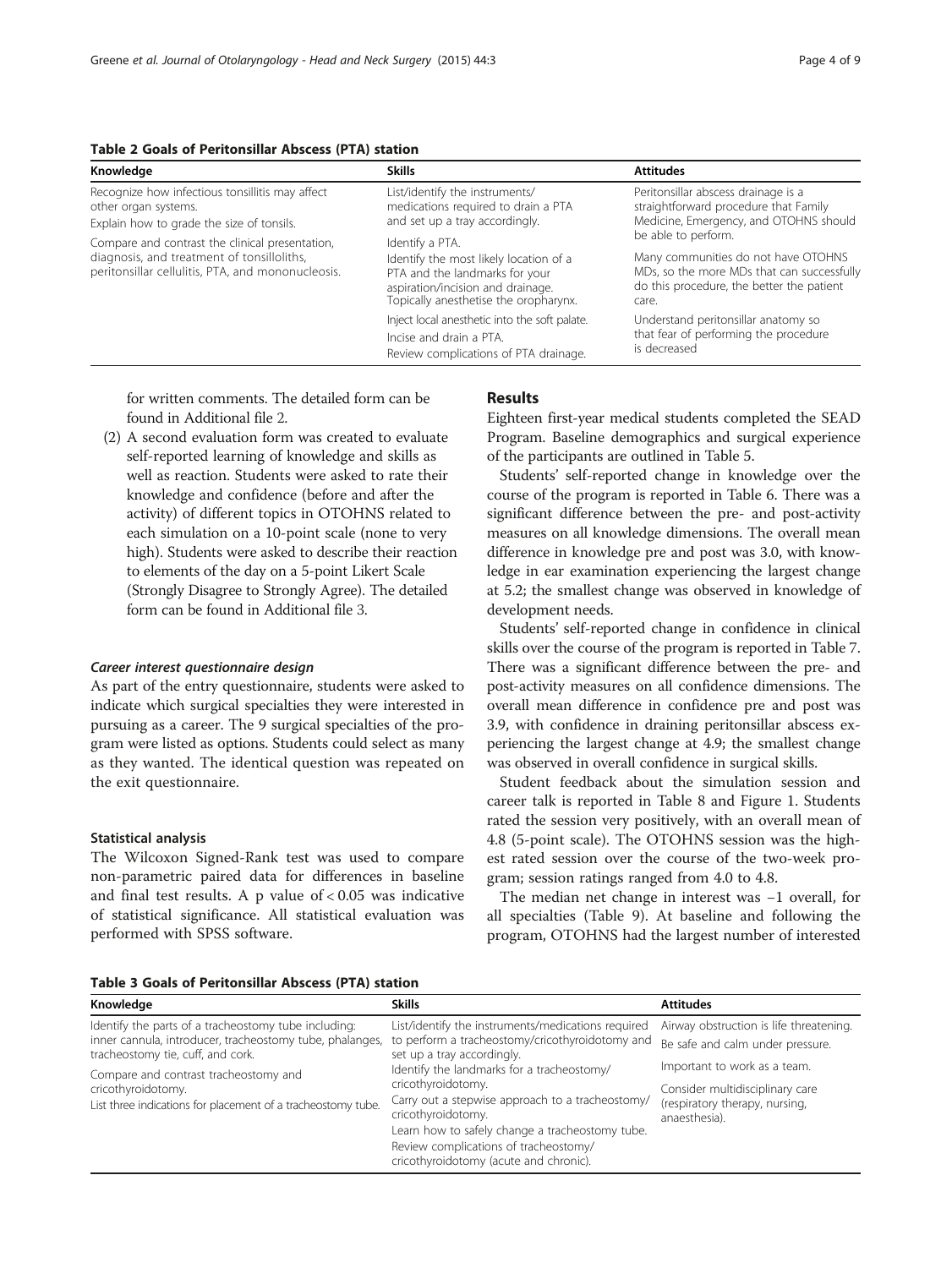<span id="page-3-0"></span>Table 2 Goals of Peritonsillar Abscess (PTA) station

| Knowledge                                                                                                                                          | <b>Skills</b>                                                                                                                                                             | <b>Attitudes</b>                                                                                                                                               |
|----------------------------------------------------------------------------------------------------------------------------------------------------|---------------------------------------------------------------------------------------------------------------------------------------------------------------------------|----------------------------------------------------------------------------------------------------------------------------------------------------------------|
| Recognize how infectious tonsillitis may affect<br>other organ systems.<br>Explain how to grade the size of tonsils.                               | List/identify the instruments/<br>medications required to drain a PTA<br>and set up a tray accordingly.                                                                   | Peritonsillar abscess drainage is a<br>straightforward procedure that Family<br>Medicine, Emergency, and OTOHNS should                                         |
| Compare and contrast the clinical presentation,<br>diagnosis, and treatment of tonsilloliths,<br>peritonsillar cellulitis, PTA, and mononucleosis. | Identify a PTA.<br>Identify the most likely location of a<br>PTA and the landmarks for your<br>aspiration/incision and drainage.<br>Topically anesthetise the oropharynx. | be able to perform.<br>Many communities do not have OTOHNS<br>MDs, so the more MDs that can successfully<br>do this procedure, the better the patient<br>care. |
|                                                                                                                                                    | Inject local anesthetic into the soft palate.<br>Incise and drain a PTA.<br>Review complications of PTA drainage.                                                         | Understand peritonsillar anatomy so<br>that fear of performing the procedure<br>is decreased                                                                   |

for written comments. The detailed form can be found in Additional file [2](#page-7-0).

(2) A second evaluation form was created to evaluate self-reported learning of knowledge and skills as well as reaction. Students were asked to rate their knowledge and confidence (before and after the activity) of different topics in OTOHNS related to each simulation on a 10-point scale (none to very high). Students were asked to describe their reaction to elements of the day on a 5-point Likert Scale (Strongly Disagree to Strongly Agree). The detailed form can be found in Additional file [3](#page-7-0).

#### Career interest questionnaire design

As part of the entry questionnaire, students were asked to indicate which surgical specialties they were interested in pursuing as a career. The 9 surgical specialties of the program were listed as options. Students could select as many as they wanted. The identical question was repeated on the exit questionnaire.

#### Statistical analysis

The Wilcoxon Signed-Rank test was used to compare non-parametric paired data for differences in baseline and final test results. A p value of  $< 0.05$  was indicative of statistical significance. All statistical evaluation was performed with SPSS software.

## Results

Eighteen first-year medical students completed the SEAD Program. Baseline demographics and surgical experience of the participants are outlined in Table [5](#page-4-0).

Students' self-reported change in knowledge over the course of the program is reported in Table [6](#page-4-0). There was a significant difference between the pre- and post-activity measures on all knowledge dimensions. The overall mean difference in knowledge pre and post was 3.0, with knowledge in ear examination experiencing the largest change at 5.2; the smallest change was observed in knowledge of development needs.

Students' self-reported change in confidence in clinical skills over the course of the program is reported in Table [7](#page-4-0). There was a significant difference between the pre- and post-activity measures on all confidence dimensions. The overall mean difference in confidence pre and post was 3.9, with confidence in draining peritonsillar abscess experiencing the largest change at 4.9; the smallest change was observed in overall confidence in surgical skills.

Student feedback about the simulation session and career talk is reported in Table [8](#page-5-0) and Figure [1](#page-5-0). Students rated the session very positively, with an overall mean of 4.8 (5-point scale). The OTOHNS session was the highest rated session over the course of the two-week program; session ratings ranged from 4.0 to 4.8.

The median net change in interest was −1 overall, for all specialties (Table [9](#page-6-0)). At baseline and following the program, OTOHNS had the largest number of interested

Table 3 Goals of Peritonsillar Abscess (PTA) station

| Knowledge                                                                                     | <b>Skills</b>                                                                   | <b>Attitudes</b>                                |  |
|-----------------------------------------------------------------------------------------------|---------------------------------------------------------------------------------|-------------------------------------------------|--|
| Identify the parts of a tracheostomy tube including:                                          | List/identify the instruments/medications required                              | Airway obstruction is life threatening.         |  |
| inner cannula, introducer, tracheostomy tube, phalanges,<br>tracheostomy tie, cuff, and cork. | to perform a tracheostomy/cricothyroidotomy and<br>set up a tray accordingly.   | Be safe and calm under pressure.                |  |
| Compare and contrast tracheostomy and                                                         | Identify the landmarks for a tracheostomy/                                      | Important to work as a team.                    |  |
| cricothyroidotomy.                                                                            | cricothyroidotomy.                                                              | Consider multidisciplinary care                 |  |
| List three indications for placement of a tracheostomy tube.                                  | Carry out a stepwise approach to a tracheostomy/<br>cricothyroidotomy.          | (respiratory therapy, nursing,<br>anaesthesia). |  |
|                                                                                               | Learn how to safely change a tracheostomy tube.                                 |                                                 |  |
|                                                                                               | Review complications of tracheostomy/<br>cricothyroidotomy (acute and chronic). |                                                 |  |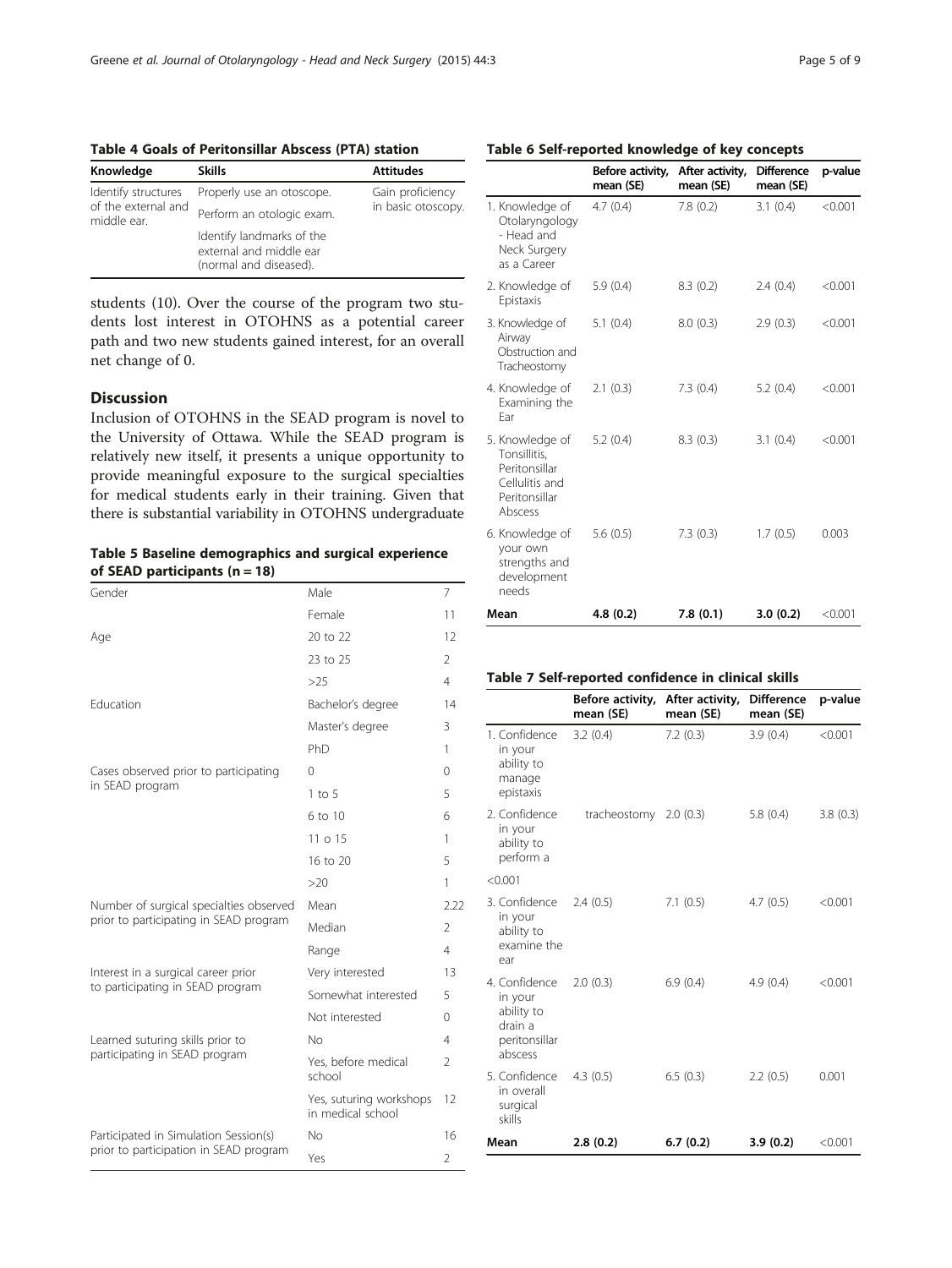<span id="page-4-0"></span>Table 4 Goals of Peritonsillar Abscess (PTA) station

| Knowledge                                                 | <b>Skills</b>                                                                  | <b>Attitudes</b>   |
|-----------------------------------------------------------|--------------------------------------------------------------------------------|--------------------|
| Identify structures<br>of the external and<br>middle ear. | Properly use an otoscope.                                                      | Gain proficiency   |
|                                                           | Perform an otologic exam.                                                      | in basic otoscopy. |
|                                                           | Identify landmarks of the<br>external and middle ear<br>(normal and diseased). |                    |

students (10). Over the course of the program two students lost interest in OTOHNS as a potential career path and two new students gained interest, for an overall net change of 0.

## Discussion

Inclusion of OTOHNS in the SEAD program is novel to the University of Ottawa. While the SEAD program is relatively new itself, it presents a unique opportunity to provide meaningful exposure to the surgical specialties for medical students early in their training. Given that there is substantial variability in OTOHNS undergraduate

|  | Table 5 Baseline demographics and surgical experience |  |  |
|--|-------------------------------------------------------|--|--|
|  | of SEAD participants $(n = 18)$                       |  |  |

| Gender                                  | Male                                         | 7              |
|-----------------------------------------|----------------------------------------------|----------------|
|                                         | Female                                       | 11             |
| Age                                     | 20 to 22                                     | 12             |
|                                         | 23 to 25                                     | $\mathfrak{D}$ |
|                                         | >25                                          | 4              |
| Education                               | Bachelor's degree                            | 14             |
|                                         | Master's degree                              | 3              |
|                                         | PhD                                          | 1              |
| Cases observed prior to participating   | $\Omega$                                     | $\Omega$       |
| in SEAD program                         | $1$ to $5$                                   | 5              |
|                                         | 6 to 10                                      | 6              |
|                                         | 11 o 15                                      | 1              |
|                                         | 16 to 20                                     | 5              |
|                                         | >20                                          | 1              |
| Number of surgical specialties observed | Mean                                         | 2.22           |
| prior to participating in SEAD program  | Median                                       | $\mathfrak{D}$ |
|                                         | Range                                        | $\overline{4}$ |
| Interest in a surgical career prior     | Very interested                              | 13             |
| to participating in SEAD program        | Somewhat interested                          | 5              |
|                                         | Not interested                               | 0              |
| Learned suturing skills prior to        | No                                           | 4              |
| participating in SEAD program           | Yes, before medical<br>school                | $\mathfrak{D}$ |
|                                         | Yes, suturing workshops<br>in medical school | 12             |
| Participated in Simulation Session(s)   | No                                           | 16             |
| prior to participation in SEAD program  | Yes                                          | $\overline{2}$ |

|                                                                                                | Before activity,<br>mean (SE) | After activity,<br>mean (SE) | <b>Difference</b><br>mean (SE) | p-value |
|------------------------------------------------------------------------------------------------|-------------------------------|------------------------------|--------------------------------|---------|
| 1. Knowledge of<br>Otolaryngology<br>- Head and<br>Neck Surgery<br>as a Career                 | 4.7(0.4)                      | 7.8(0.2)                     | 3.1(0.4)                       | < 0.001 |
| 2. Knowledge of<br>Epistaxis                                                                   | 5.9(0.4)                      | 8.3(0.2)                     | 2.4(0.4)                       | < 0.001 |
| 3. Knowledge of<br>Airway<br>Obstruction and<br>Tracheostomy                                   | 5.1(0.4)                      | 8.0(0.3)                     | 2.9(0.3)                       | < 0.001 |
| 4. Knowledge of<br>Examining the<br>Ear                                                        | 2.1(0.3)                      | 7.3(0.4)                     | 5.2(0.4)                       | < 0.001 |
| 5. Knowledge of<br>Tonsillitis.<br>Peritonsillar<br>Cellulitis and<br>Peritonsillar<br>Abscess | 5.2(0.4)                      | 8.3(0.3)                     | 3.1(0.4)                       | < 0.001 |
| 6. Knowledge of<br>your own<br>strengths and<br>development<br>needs                           | 5.6(0.5)                      | 7.3(0.3)                     | 1.7(0.5)                       | 0.003   |
| Mean                                                                                           | 4.8(0.2)                      | 7.8(0.1)                     | 3.0(0.2)                       | < 0.001 |

## Table 7 Self-reported confidence in clinical skills

|                                                                               | Before activity,<br>mean (SE) | After activity,<br>mean (SE) | <b>Difference</b><br>mean (SE) | p-value  |
|-------------------------------------------------------------------------------|-------------------------------|------------------------------|--------------------------------|----------|
| 1. Confidence<br>in your<br>ability to<br>manage<br>epistaxis                 | 3.2(0.4)                      | 7.2(0.3)                     | 3.9(0.4)                       | < 0.001  |
| 2. Confidence<br>in your<br>ability to<br>perform a                           | tracheostomy                  | 2.0(0.3)                     | 5.8(0.4)                       | 3.8(0.3) |
| < 0.001                                                                       |                               |                              |                                |          |
| 3. Confidence<br>in your<br>ability to<br>examine the<br>ear                  | 2.4(0.5)                      | 7.1(0.5)                     | 4.7(0.5)                       | < 0.001  |
| 4. Confidence<br>in your<br>ability to<br>drain a<br>peritonsillar<br>abscess | 2.0(0.3)                      | 6.9(0.4)                     | 4.9(0.4)                       | < 0.001  |
| 5. Confidence<br>in overall<br>surgical<br>skills                             | 4.3(0.5)                      | 6.5(0.3)                     | 2.2(0.5)                       | 0.001    |
| Mean                                                                          | 2.8(0.2)                      | 6.7(0.2)                     | 3.9(0.2)                       | < 0.001  |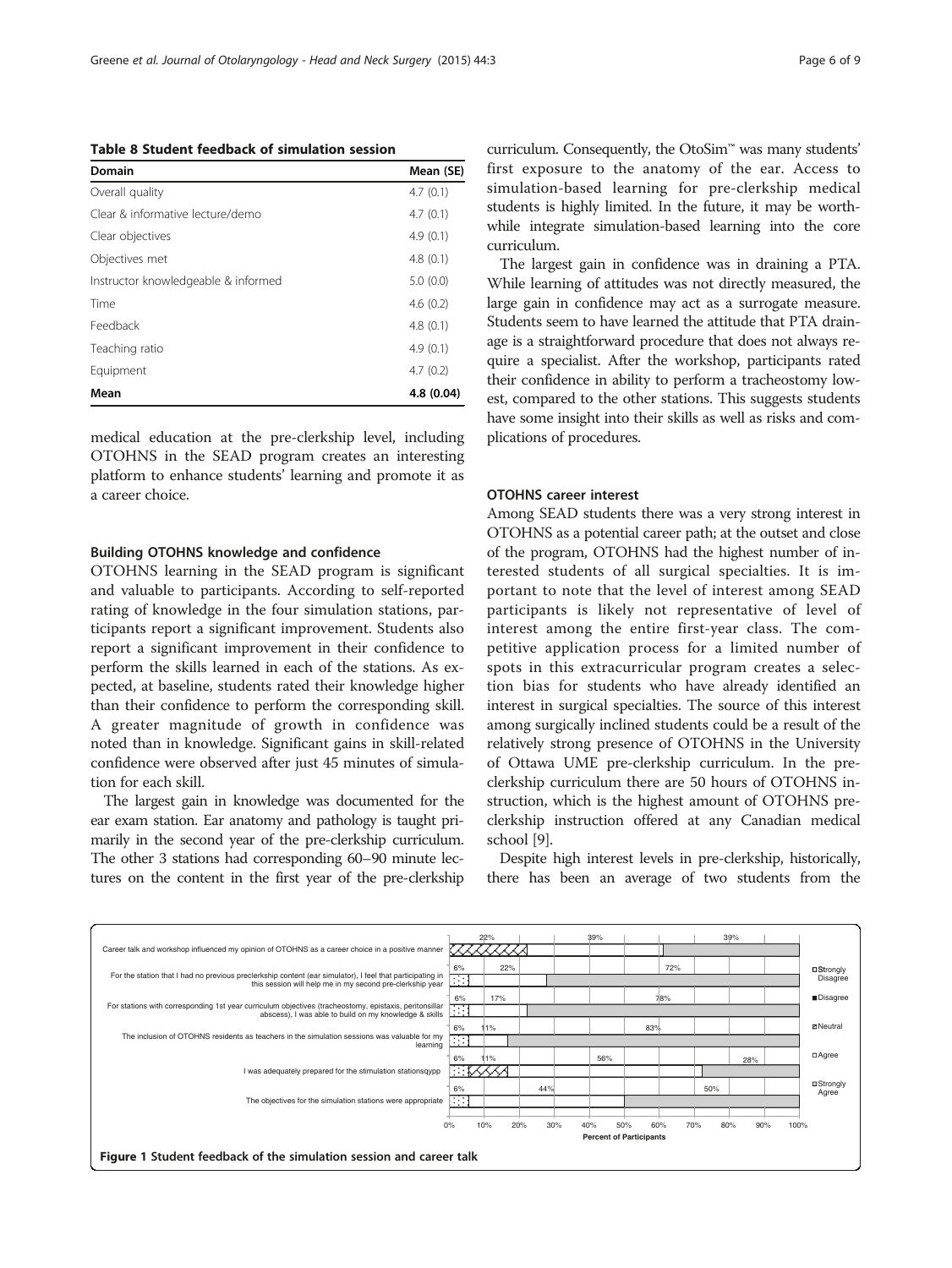<span id="page-5-0"></span>Table 8 Student feedback of simulation session

| Domain                              | Mean (SE) |
|-------------------------------------|-----------|
| Overall quality                     | 4.7(0.1)  |
| Clear & informative lecture/demo    | 4.7(0.1)  |
| Clear objectives                    | 4.9(0.1)  |
| Objectives met                      | 4.8(0.1)  |
| Instructor knowledgeable & informed | 5.0(0.0)  |
| Time                                | 4.6(0.2)  |
| Feedback                            | 4.8(0.1)  |
| Teaching ratio                      | 4.9(0.1)  |
| Equipment                           | 4.7(0.2)  |
| Mean                                | 4.8(0.04) |

medical education at the pre-clerkship level, including OTOHNS in the SEAD program creates an interesting platform to enhance students' learning and promote it as a career choice.

#### Building OTOHNS knowledge and confidence

OTOHNS learning in the SEAD program is significant and valuable to participants. According to self-reported rating of knowledge in the four simulation stations, participants report a significant improvement. Students also report a significant improvement in their confidence to perform the skills learned in each of the stations. As expected, at baseline, students rated their knowledge higher than their confidence to perform the corresponding skill. A greater magnitude of growth in confidence was noted than in knowledge. Significant gains in skill-related confidence were observed after just 45 minutes of simulation for each skill.

The largest gain in knowledge was documented for the ear exam station. Ear anatomy and pathology is taught primarily in the second year of the pre-clerkship curriculum. The other 3 stations had corresponding 60–90 minute lectures on the content in the first year of the pre-clerkship curriculum. Consequently, the OtoSim™ was many students' first exposure to the anatomy of the ear. Access to simulation-based learning for pre-clerkship medical students is highly limited. In the future, it may be worthwhile integrate simulation-based learning into the core curriculum.

The largest gain in confidence was in draining a PTA. While learning of attitudes was not directly measured, the large gain in confidence may act as a surrogate measure. Students seem to have learned the attitude that PTA drainage is a straightforward procedure that does not always require a specialist. After the workshop, participants rated their confidence in ability to perform a tracheostomy lowest, compared to the other stations. This suggests students have some insight into their skills as well as risks and complications of procedures.

## OTOHNS career interest

Among SEAD students there was a very strong interest in OTOHNS as a potential career path; at the outset and close of the program, OTOHNS had the highest number of interested students of all surgical specialties. It is important to note that the level of interest among SEAD participants is likely not representative of level of interest among the entire first-year class. The competitive application process for a limited number of spots in this extracurricular program creates a selection bias for students who have already identified an interest in surgical specialties. The source of this interest among surgically inclined students could be a result of the relatively strong presence of OTOHNS in the University of Ottawa UME pre-clerkship curriculum. In the preclerkship curriculum there are 50 hours of OTOHNS instruction, which is the highest amount of OTOHNS preclerkship instruction offered at any Canadian medical school [\[9](#page-8-0)].

Despite high interest levels in pre-clerkship, historically, there has been an average of two students from the

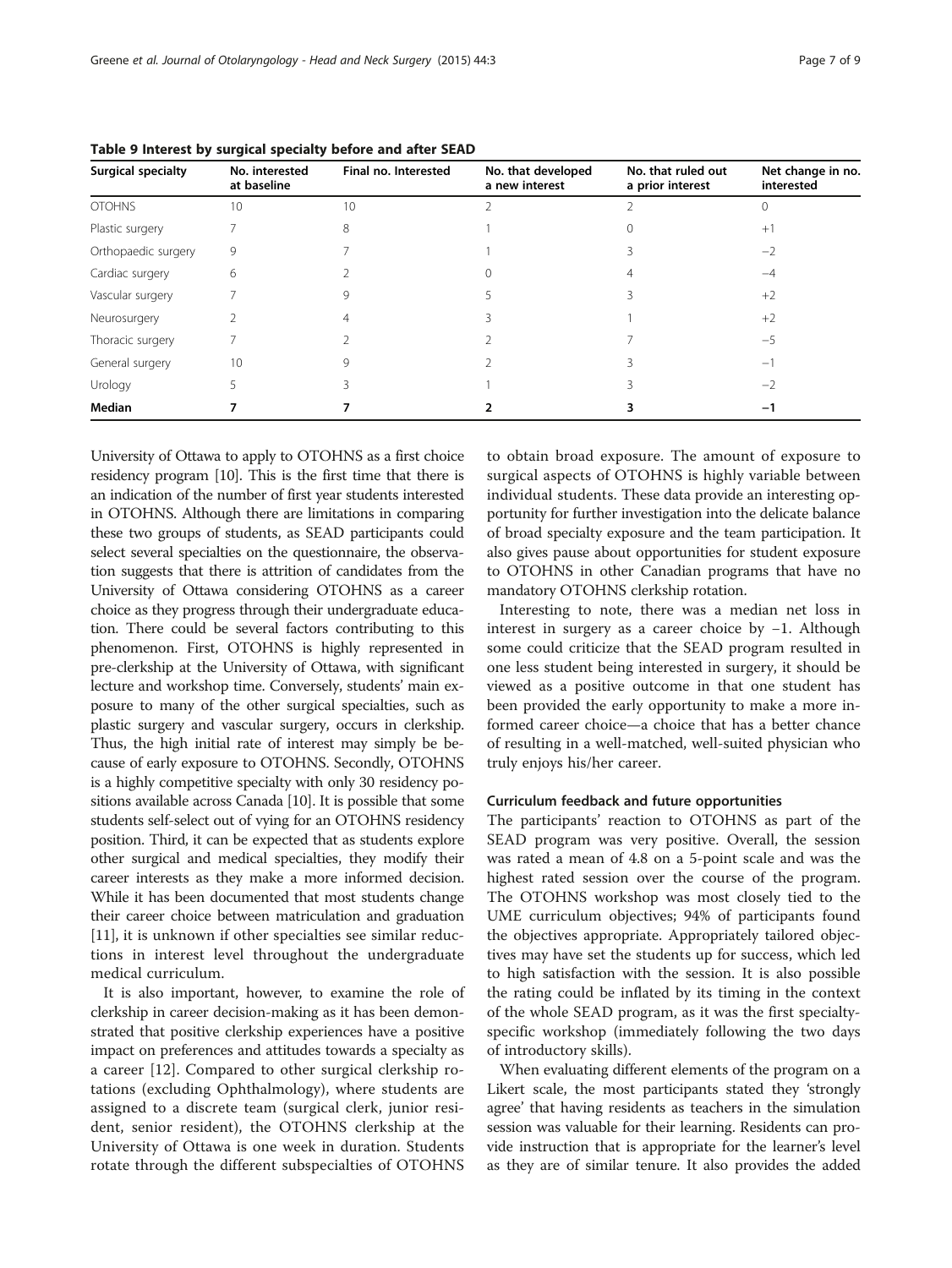| <b>Surgical specialty</b> | No. interested<br>at baseline | Final no. Interested | No. that developed<br>a new interest | No. that ruled out<br>a prior interest | Net change in no.<br>interested |
|---------------------------|-------------------------------|----------------------|--------------------------------------|----------------------------------------|---------------------------------|
| <b>OTOHNS</b>             | 10                            | 10                   |                                      |                                        |                                 |
| Plastic surgery           |                               | 8                    |                                      |                                        | $+1$                            |
| Orthopaedic surgery       | 9                             |                      |                                      |                                        | -2                              |
| Cardiac surgery           | 6                             |                      |                                      |                                        |                                 |
| Vascular surgery          |                               |                      |                                      |                                        | $+2$                            |
| Neurosurgery              |                               | 4                    |                                      |                                        | $+2$                            |
| Thoracic surgery          |                               |                      |                                      |                                        | $-5$                            |
| General surgery           | 10                            |                      |                                      |                                        | -                               |
| Urology                   |                               |                      |                                      |                                        | -2                              |
| Median                    |                               |                      |                                      |                                        | -1                              |

<span id="page-6-0"></span>Table 9 Interest by surgical specialty before and after SEAD

University of Ottawa to apply to OTOHNS as a first choice residency program [\[10\]](#page-8-0). This is the first time that there is an indication of the number of first year students interested in OTOHNS. Although there are limitations in comparing these two groups of students, as SEAD participants could select several specialties on the questionnaire, the observation suggests that there is attrition of candidates from the University of Ottawa considering OTOHNS as a career choice as they progress through their undergraduate education. There could be several factors contributing to this phenomenon. First, OTOHNS is highly represented in pre-clerkship at the University of Ottawa, with significant lecture and workshop time. Conversely, students' main exposure to many of the other surgical specialties, such as plastic surgery and vascular surgery, occurs in clerkship. Thus, the high initial rate of interest may simply be because of early exposure to OTOHNS. Secondly, OTOHNS is a highly competitive specialty with only 30 residency positions available across Canada [[10](#page-8-0)]. It is possible that some students self-select out of vying for an OTOHNS residency position. Third, it can be expected that as students explore other surgical and medical specialties, they modify their career interests as they make a more informed decision. While it has been documented that most students change their career choice between matriculation and graduation [[11](#page-8-0)], it is unknown if other specialties see similar reductions in interest level throughout the undergraduate medical curriculum.

It is also important, however, to examine the role of clerkship in career decision-making as it has been demonstrated that positive clerkship experiences have a positive impact on preferences and attitudes towards a specialty as a career [[12](#page-8-0)]. Compared to other surgical clerkship rotations (excluding Ophthalmology), where students are assigned to a discrete team (surgical clerk, junior resident, senior resident), the OTOHNS clerkship at the University of Ottawa is one week in duration. Students rotate through the different subspecialties of OTOHNS

to obtain broad exposure. The amount of exposure to surgical aspects of OTOHNS is highly variable between individual students. These data provide an interesting opportunity for further investigation into the delicate balance of broad specialty exposure and the team participation. It also gives pause about opportunities for student exposure to OTOHNS in other Canadian programs that have no mandatory OTOHNS clerkship rotation.

Interesting to note, there was a median net loss in interest in surgery as a career choice by −1. Although some could criticize that the SEAD program resulted in one less student being interested in surgery, it should be viewed as a positive outcome in that one student has been provided the early opportunity to make a more informed career choice—a choice that has a better chance of resulting in a well-matched, well-suited physician who truly enjoys his/her career.

#### Curriculum feedback and future opportunities

The participants' reaction to OTOHNS as part of the SEAD program was very positive. Overall, the session was rated a mean of 4.8 on a 5-point scale and was the highest rated session over the course of the program. The OTOHNS workshop was most closely tied to the UME curriculum objectives; 94% of participants found the objectives appropriate. Appropriately tailored objectives may have set the students up for success, which led to high satisfaction with the session. It is also possible the rating could be inflated by its timing in the context of the whole SEAD program, as it was the first specialtyspecific workshop (immediately following the two days of introductory skills).

When evaluating different elements of the program on a Likert scale, the most participants stated they 'strongly agree' that having residents as teachers in the simulation session was valuable for their learning. Residents can provide instruction that is appropriate for the learner's level as they are of similar tenure. It also provides the added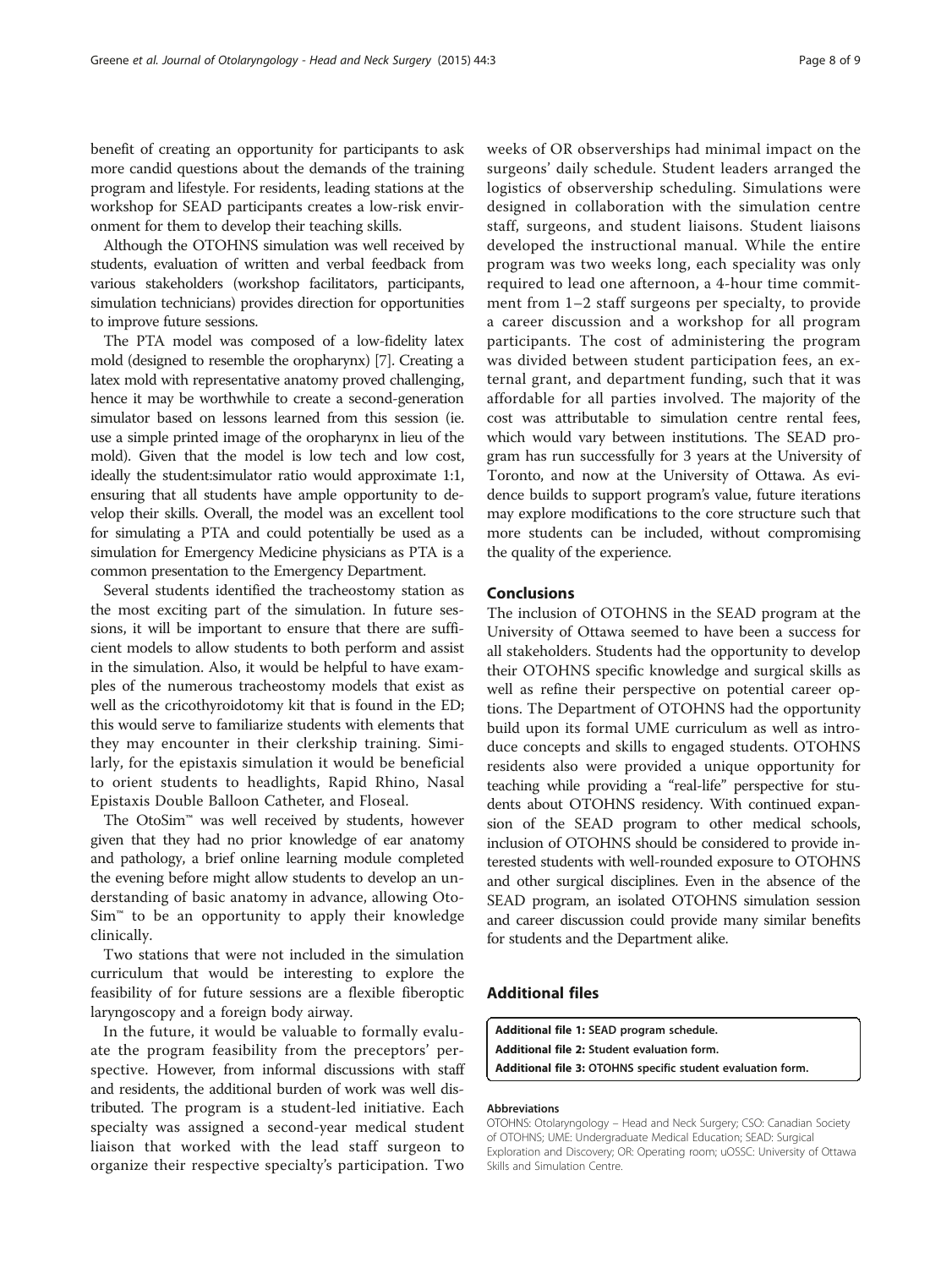<span id="page-7-0"></span>benefit of creating an opportunity for participants to ask more candid questions about the demands of the training program and lifestyle. For residents, leading stations at the workshop for SEAD participants creates a low-risk environment for them to develop their teaching skills.

Although the OTOHNS simulation was well received by students, evaluation of written and verbal feedback from various stakeholders (workshop facilitators, participants, simulation technicians) provides direction for opportunities to improve future sessions.

The PTA model was composed of a low-fidelity latex mold (designed to resemble the oropharynx) [\[7](#page-8-0)]. Creating a latex mold with representative anatomy proved challenging, hence it may be worthwhile to create a second-generation simulator based on lessons learned from this session (ie. use a simple printed image of the oropharynx in lieu of the mold). Given that the model is low tech and low cost, ideally the student:simulator ratio would approximate 1:1, ensuring that all students have ample opportunity to develop their skills. Overall, the model was an excellent tool for simulating a PTA and could potentially be used as a simulation for Emergency Medicine physicians as PTA is a common presentation to the Emergency Department.

Several students identified the tracheostomy station as the most exciting part of the simulation. In future sessions, it will be important to ensure that there are sufficient models to allow students to both perform and assist in the simulation. Also, it would be helpful to have examples of the numerous tracheostomy models that exist as well as the cricothyroidotomy kit that is found in the ED; this would serve to familiarize students with elements that they may encounter in their clerkship training. Similarly, for the epistaxis simulation it would be beneficial to orient students to headlights, Rapid Rhino, Nasal Epistaxis Double Balloon Catheter, and Floseal.

The OtoSim™ was well received by students, however given that they had no prior knowledge of ear anatomy and pathology, a brief online learning module completed the evening before might allow students to develop an understanding of basic anatomy in advance, allowing Oto-Sim™ to be an opportunity to apply their knowledge clinically.

Two stations that were not included in the simulation curriculum that would be interesting to explore the feasibility of for future sessions are a flexible fiberoptic laryngoscopy and a foreign body airway.

In the future, it would be valuable to formally evaluate the program feasibility from the preceptors' perspective. However, from informal discussions with staff and residents, the additional burden of work was well distributed. The program is a student-led initiative. Each specialty was assigned a second-year medical student liaison that worked with the lead staff surgeon to organize their respective specialty's participation. Two weeks of OR observerships had minimal impact on the surgeons' daily schedule. Student leaders arranged the logistics of observership scheduling. Simulations were designed in collaboration with the simulation centre staff, surgeons, and student liaisons. Student liaisons developed the instructional manual. While the entire program was two weeks long, each speciality was only required to lead one afternoon, a 4-hour time commitment from 1–2 staff surgeons per specialty, to provide a career discussion and a workshop for all program participants. The cost of administering the program was divided between student participation fees, an external grant, and department funding, such that it was affordable for all parties involved. The majority of the cost was attributable to simulation centre rental fees, which would vary between institutions. The SEAD program has run successfully for 3 years at the University of Toronto, and now at the University of Ottawa. As evidence builds to support program's value, future iterations may explore modifications to the core structure such that more students can be included, without compromising the quality of the experience.

## Conclusions

The inclusion of OTOHNS in the SEAD program at the University of Ottawa seemed to have been a success for all stakeholders. Students had the opportunity to develop their OTOHNS specific knowledge and surgical skills as well as refine their perspective on potential career options. The Department of OTOHNS had the opportunity build upon its formal UME curriculum as well as introduce concepts and skills to engaged students. OTOHNS residents also were provided a unique opportunity for teaching while providing a "real-life" perspective for students about OTOHNS residency. With continued expansion of the SEAD program to other medical schools, inclusion of OTOHNS should be considered to provide interested students with well-rounded exposure to OTOHNS and other surgical disciplines. Even in the absence of the SEAD program, an isolated OTOHNS simulation session and career discussion could provide many similar benefits for students and the Department alike.

## Additional files

[Additional file 1:](http://www.journalotohns.com/content/supplementary/s40463-015-0059-5-s1.pdf) SEAD program schedule. [Additional file 2:](http://www.journalotohns.com/content/supplementary/s40463-015-0059-5-s2.pdf) Student evaluation form. [Additional file 3:](http://www.journalotohns.com/content/supplementary/s40463-015-0059-5-s3.pdf) OTOHNS specific student evaluation form.

#### Abbreviations

OTOHNS: Otolaryngology – Head and Neck Surgery; CSO: Canadian Society of OTOHNS; UME: Undergraduate Medical Education; SEAD: Surgical Exploration and Discovery; OR: Operating room; uOSSC: University of Ottawa Skills and Simulation Centre.